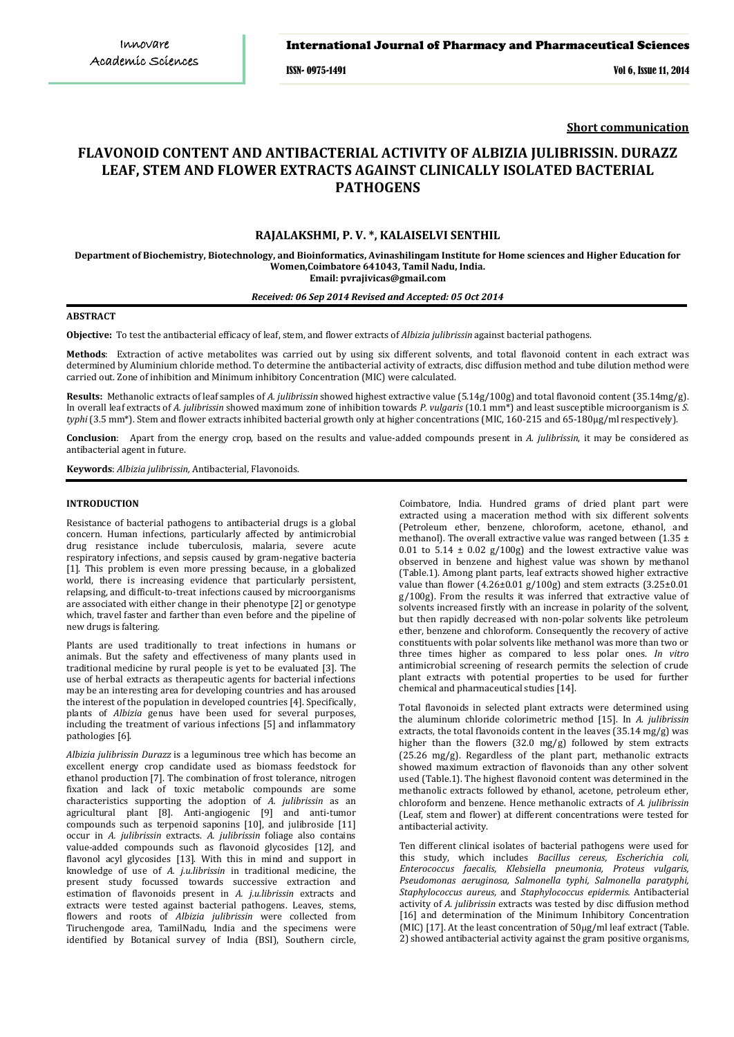#### International Journal of Pharmacy and Pharmaceutical Sciences

ISSN- 0975-1491 Vol 6, Issue 11, 2014

**Short communication**

# **FLAVONOID CONTENT AND ANTIBACTERIAL ACTIVITY OF ALBIZIA JULIBRISSIN. DURAZZ LEAF, STEM AND FLOWER EXTRACTS AGAINST CLINICALLY ISOLATED BACTERIAL PATHOGENS**

# **RAJALAKSHMI, P. V. \*, KALAISELVI SENTHIL**

**Department of Biochemistry, Biotechnology, and Bioinformatics, Avinashilingam Institute for Home sciences and Higher Education for Women,Coimbatore 641043, Tamil Nadu, India. Email: [pvrajivicas@gmail.com](mailto:pvrajivicas@gmail.com)**

#### *Received: 06 Sep 2014 Revised and Accepted: 05 Oct 2014*

# **ABSTRACT**

**Objective:** To test the antibacterial efficacy of leaf, stem, and flower extracts of *Albizia julibrissin* against bacterial pathogens.

**Methods**: Extraction of active metabolites was carried out by using six different solvents, and total flavonoid content in each extract was determined by Aluminium chloride method. To determine the antibacterial activity of extracts, disc diffusion method and tube dilution method were carried out. Zone of inhibition and Minimum inhibitory Concentration (MIC) were calculated.

**Results:** Methanolic extracts of leaf samples of *A. julibrissin* showed highest extractive value (5.14g/100g) and total flavonoid content (35.14mg/g). In overall leaf extracts of *A. julibrissin* showed maximum zone of inhibition towards *P. vulgaris* (10.1 mm\*) and least susceptible microorganism is *S. typhi* (3.5 mm\*). Stem and flower extracts inhibited bacterial growth only at higher concentrations (MIC, 160-215 and 65-180µg/ml respectively).

**Conclusion**:Apart from the energy crop, based on the results and value-added compounds present in *A. julibrissin*, it may be considered as antibacterial agent in future.

**Keywords**: *Albizia julibrissin,* Antibacterial, Flavonoids.

### **INTRODUCTION**

Resistance of bacterial pathogens to antibacterial drugs is a global concern. Human infections, particularly affected by antimicrobial drug resistance include tuberculosis, malaria, severe acute respiratory infections, and sepsis caused by gram-negative bacteria [1]. This problem is even more pressing because, in a globalized world, there is increasing evidence that particularly persistent, relapsing, and difficult-to-treat infections caused by microorganisms are associated with either change in their phenotype [2] or genotype which, travel faster and farther than even before and the pipeline of new drugs is faltering.

Plants are used traditionally to treat infections in humans or animals. But the safety and effectiveness of many plants used in traditional medicine by rural people is yet to be evaluated [3]. The use of herbal extracts as therapeutic agents for bacterial infections may be an interesting area for developing countries and has aroused the interest of the population in developed countries [4]. Specifically, plants of *Albizia* genus have been used for several purposes, including the treatment of various infections [5] and inflammatory pathologies [6].

*Albizia julibrissin Durazz* is a leguminous tree which has become an excellent energy crop candidate used as biomass feedstock for ethanol production [7]. The combination of frost tolerance, nitrogen fixation and lack of toxic metabolic compounds are some characteristics supporting the adoption of *A. julibrissin* as an agricultural plant [8]. Anti-angiogenic [9] and anti-tumor compounds such as terpenoid saponins [10], and julibroside [11] occur in *A. julibrissin* extracts. *A. julibrissin* foliage also contains value-added compounds such as flavonoid glycosides [12], and flavonol acyl glycosides [13]. With this in mind and support in knowledge of use of *A. j.u.librissin* in traditional medicine, the present study focussed towards successive extraction and estimation of flavonoids present in *A. j.u.librissin* extracts and extracts were tested against bacterial pathogens. Leaves, stems, flowers and roots of *Albizia julibrissin* were collected from Tiruchengode area, TamilNadu, India and the specimens were identified by Botanical survey of India (BSI), Southern circle,

Coimbatore, India. Hundred grams of dried plant part were extracted using a maceration method with six different solvents (Petroleum ether, benzene, chloroform, acetone, ethanol, and methanol). The overall extractive value was ranged between (1.35  $\pm$ 0.01 to 5.14  $\pm$  0.02 g/100g) and the lowest extractive value was observed in benzene and highest value was shown by methanol (Table.1). Among plant parts, leaf extracts showed higher extractive value than flower (4.26±0.01 g/100g) and stem extracts (3.25±0.01 g/100g). From the results it was inferred that extractive value of solvents increased firstly with an increase in polarity of the solvent, but then rapidly decreased with non-polar solvents like petroleum ether, benzene and chloroform. Consequently the recovery of active constituents with polar solvents like methanol was more than two or three times higher as compared to less polar ones. *In vitro* antimicrobial screening of research permits the selection of crude plant extracts with potential properties to be used for further chemical and pharmaceutical studies [14].

Total flavonoids in selected plant extracts were determined using the aluminum chloride colorimetric method [15]. In *A. julibrissin* extracts, the total flavonoids content in the leaves (35.14 mg/g) was higher than the flowers (32.0 mg/g) followed by stem extracts (25.26 mg/g). Regardless of the plant part, methanolic extracts showed maximum extraction of flavonoids than any other solvent used (Table.1). The highest flavonoid content was determined in the methanolic extracts followed by ethanol, acetone, petroleum ether, chloroform and benzene. Hence methanolic extracts of *A. julibrissin* (Leaf, stem and flower) at different concentrations were tested for antibacterial activity.

Ten different clinical isolates of bacterial pathogens were used for this study, which includes *Bacillus cereus, Escherichia coli, Enterococcus faecalis, Klebsiella pneumonia, Proteus vulgaris, Pseudomonas aeruginosa, Salmonella typhi, Salmonella paratyphi, Staphylococcus aureus,* and *Staphylococcus epidermis.* Antibacterial activity of *A. julibrissin* extracts was tested by disc diffusion method [16] and determination of the Minimum Inhibitory Concentration (MIC) [17]. At the least concentration of 50µg/ml leaf extract (Table. 2) showed antibacterial activity against the gram positive organisms,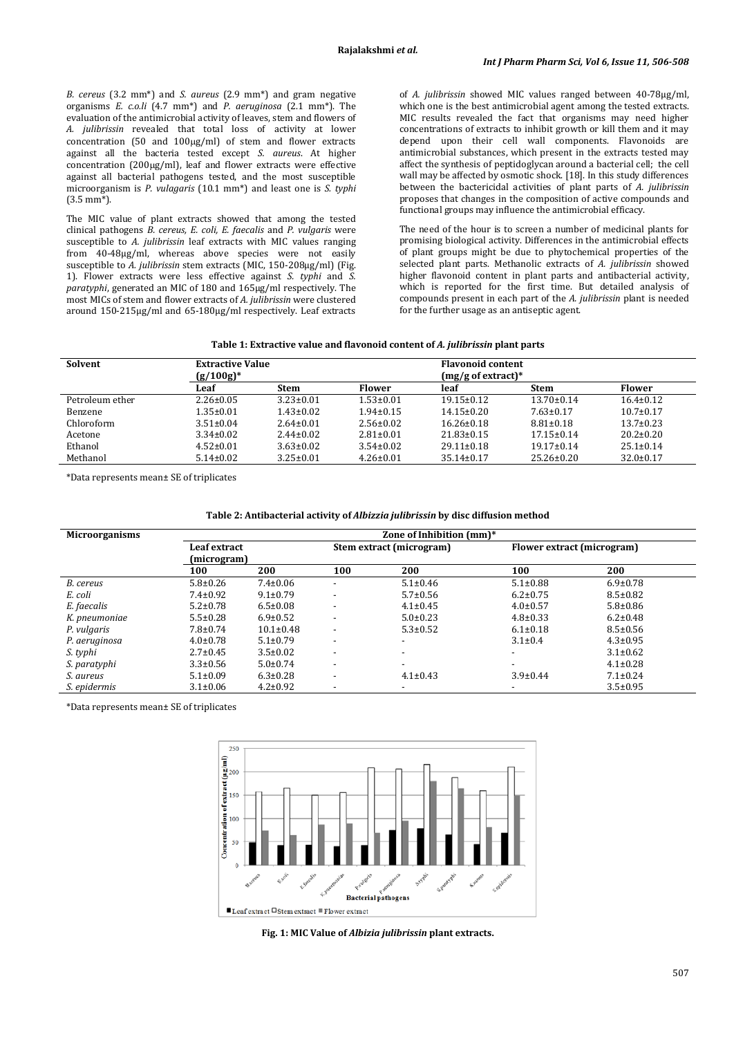*B. cereus* (3.2 mm\*) and *S. aureus* (2.9 mm\*) and gram negative organisms *E. c.o.li* (4.7 mm\*) and *P. aeruginosa* (2.1 mm\*). The evaluation of the antimicrobial activity of leaves, stem and flowers of *A. julibrissin* revealed that total loss of activity at lower concentration (50 and 100µg/ml) of stem and flower extracts against all the bacteria tested except *S. aureus*. At higher concentration (200µg/ml), leaf and flower extracts were effective against all bacterial pathogens tested, and the most susceptible microorganism is *P. vulagaris* (10.1 mm\*) and least one is *S. typhi* (3.5 mm\*).

The MIC value of plant extracts showed that among the tested clinical pathogens *B. cereus, E. coli, E. faecalis* and *P. vulgaris* were susceptible to *A. julibrissin* leaf extracts with MIC values ranging from 40-48µg/ml, whereas above species were not easily susceptible to *A. julibrissin* stem extracts (MIC, 150-208µg/ml) (Fig. 1). Flower extracts were less effective against *S. typhi* and *S. paratyphi*, generated an MIC of 180 and 165µg/ml respectively. The most MICs of stem and flower extracts of *A. julibrissin* were clustered around 150-215µg/ml and 65-180µg/ml respectively. Leaf extracts of *A. julibrissin* showed MIC values ranged between 40-78µg/ml, which one is the best antimicrobial agent among the tested extracts. MIC results revealed the fact that organisms may need higher concentrations of extracts to inhibit growth or kill them and it may depend upon their cell wall components. Flavonoids are antimicrobial substances, which present in the extracts tested may affect the synthesis of peptidoglycan around a bacterial cell; the cell wall may be affected by osmotic shock. [18]. In this study differences between the bactericidal activities of plant parts of *A. julibrissin* proposes that changes in the composition of active compounds and functional groups may influence the antimicrobial efficacy.

The need of the hour is to screen a number of medicinal plants for promising biological activity. Differences in the antimicrobial effects of plant groups might be due to phytochemical properties of the selected plant parts. Methanolic extracts of *A. julibrissin* showed higher flavonoid content in plant parts and antibacterial activity, which is reported for the first time. But detailed analysis of compounds present in each part of the *A. julibrissin* plant is needed for the further usage as an antiseptic agent.

| Table 1: Extractive value and flavonoid content of A. julibrissin plant parts |
|-------------------------------------------------------------------------------|
|-------------------------------------------------------------------------------|

| Solvent         | <b>Extractive Value</b><br>$(g/100g)^*$ |                 |                 | <b>Flavonoid content</b><br>$(mg/g$ of extract)* |                  |                 |
|-----------------|-----------------------------------------|-----------------|-----------------|--------------------------------------------------|------------------|-----------------|
|                 | Leaf                                    | <b>Stem</b>     | <b>Flower</b>   | leaf                                             | <b>Stem</b>      | <b>Flower</b>   |
| Petroleum ether | $2.26 \pm 0.05$                         | $3.23 \pm 0.01$ | $1.53 \pm 0.01$ | $19.15 \pm 0.12$                                 | $13.70 \pm 0.14$ | $16.4 \pm 0.12$ |
| Benzene         | $1.35 \pm 0.01$                         | $1.43 \pm 0.02$ | $1.94 \pm 0.15$ | $14.15 \pm 0.20$                                 | $7.63 \pm 0.17$  | $10.7 \pm 0.17$ |
| Chloroform      | $3.51 \pm 0.04$                         | $2.64 \pm 0.01$ | $2.56 \pm 0.02$ | $16.26 \pm 0.18$                                 | $8.81 \pm 0.18$  | $13.7 \pm 0.23$ |
| Acetone         | $3.34 \pm 0.02$                         | $2.44 \pm 0.02$ | $2.81 \pm 0.01$ | $21.83 \pm 0.15$                                 | $17.15 \pm 0.14$ | $20.2 \pm 0.20$ |
| Ethanol         | $4.52 \pm 0.01$                         | $3.63 \pm 0.02$ | $3.54 \pm 0.02$ | $29.11 \pm 0.18$                                 | $19.17 \pm 0.14$ | $25.1 \pm 0.14$ |
| Methanol        | $5.14 \pm 0.02$                         | $3.25 \pm 0.01$ | $4.26 \pm 0.01$ | $35.14 \pm 0.17$                                 | $25.26 \pm 0.20$ | $32.0 \pm 0.17$ |

\*Data represents mean± SE of triplicates

| <b>Microorganisms</b> | Zone of Inhibition (mm)* |                 |                          |                          |                          |                            |  |  |
|-----------------------|--------------------------|-----------------|--------------------------|--------------------------|--------------------------|----------------------------|--|--|
|                       | Leaf extract             |                 | Stem extract (microgram) |                          |                          | Flower extract (microgram) |  |  |
|                       | (microgram)              |                 |                          |                          |                          |                            |  |  |
|                       | 100                      | 200             | 100                      | 200                      | 100                      | 200                        |  |  |
| B. cereus             | $5.8 \pm 0.26$           | $7.4 \pm 0.06$  | $\overline{\phantom{a}}$ | $5.1 \pm 0.46$           | $5.1 \pm 0.88$           | $6.9 \pm 0.78$             |  |  |
| E. coli               | $7.4 \pm 0.92$           | $9.1 \pm 0.79$  | $\overline{\phantom{a}}$ | $5.7 \pm 0.56$           | $6.2 \pm 0.75$           | $8.5 \pm 0.82$             |  |  |
| E. faecalis           | $5.2 \pm 0.78$           | $6.5 \pm 0.08$  | $\overline{\phantom{a}}$ | $4.1 \pm 0.45$           | $4.0 \pm 0.57$           | $5.8 \pm 0.86$             |  |  |
| K. pneumoniae         | $5.5 \pm 0.28$           | $6.9 \pm 0.52$  | $\overline{\phantom{a}}$ | $5.0 \pm 0.23$           | $4.8 \pm 0.33$           | $6.2 \pm 0.48$             |  |  |
| P. vulgaris           | $7.8 \pm 0.74$           | $10.1 \pm 0.48$ | $\overline{\phantom{a}}$ | $5.3 \pm 0.52$           | $6.1 \pm 0.18$           | $8.5 \pm 0.56$             |  |  |
| P. aeruginosa         | $4.0 \pm 0.78$           | $5.1 \pm 0.79$  | $\overline{\phantom{a}}$ | $\overline{\phantom{a}}$ | $3.1 \pm 0.4$            | $4.3 \pm 0.95$             |  |  |
| S. typhi              | $2.7 \pm 0.45$           | $3.5 \pm 0.02$  | $\overline{\phantom{a}}$ | $\overline{\phantom{a}}$ | $\overline{\phantom{a}}$ | $3.1 \pm 0.62$             |  |  |
| S. paratyphi          | $3.3 \pm 0.56$           | $5.0 \pm 0.74$  | $\overline{\phantom{a}}$ | $\overline{\phantom{a}}$ | $\overline{\phantom{a}}$ | $4.1 \pm 0.28$             |  |  |
| S. aureus             | $5.1 \pm 0.09$           | $6.3 \pm 0.28$  | -                        | $4.1 \pm 0.43$           | $3.9 \pm 0.44$           | $7.1 \pm 0.24$             |  |  |
| <i>S. epidermis</i>   | $3.1 \pm 0.06$           | $4.2 \pm 0.92$  | $\overline{\phantom{a}}$ | $\overline{\phantom{a}}$ | $\overline{\phantom{a}}$ | $3.5 \pm 0.95$             |  |  |

\*Data represents mean± SE of triplicates



**Fig. 1: MIC Value of** *Albizia julibrissin* **plant extracts.**